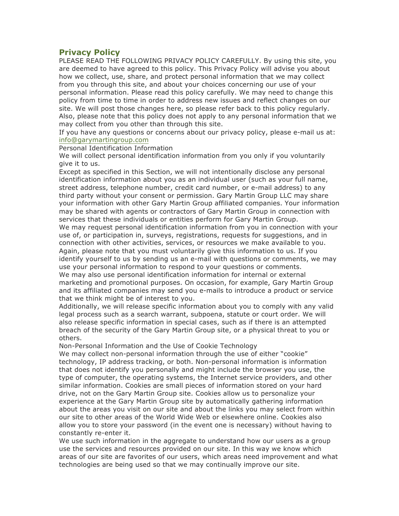# **Privacy Policy**

PLEASE READ THE FOLLOWING PRIVACY POLICY CAREFULLY. By using this site, you are deemed to have agreed to this policy. This Privacy Policy will advise you about how we collect, use, share, and protect personal information that we may collect from you through this site, and about your choices concerning our use of your personal information. Please read this policy carefully. We may need to change this policy from time to time in order to address new issues and reflect changes on our site. We will post those changes here, so please refer back to this policy regularly. Also, please note that this policy does not apply to any personal information that we may collect from you other than through this site.

If you have any questions or concerns about our privacy policy, please e-mail us at: info@garymartingroup.com

## Personal Identification Information

We will collect personal identification information from you only if you voluntarily give it to us.

Except as specified in this Section, we will not intentionally disclose any personal identification information about you as an individual user (such as your full name, street address, telephone number, credit card number, or e-mail address) to any third party without your consent or permission. Gary Martin Group LLC may share your information with other Gary Martin Group affiliated companies. Your information may be shared with agents or contractors of Gary Martin Group in connection with services that these individuals or entities perform for Gary Martin Group.

We may request personal identification information from you in connection with your use of, or participation in, surveys, registrations, requests for suggestions, and in connection with other activities, services, or resources we make available to you. Again, please note that you must voluntarily give this information to us. If you identify yourself to us by sending us an e-mail with questions or comments, we may use your personal information to respond to your questions or comments. We may also use personal identification information for internal or external marketing and promotional purposes. On occasion, for example, Gary Martin Group and its affiliated companies may send you e-mails to introduce a product or service that we think might be of interest to you.

Additionally, we will release specific information about you to comply with any valid legal process such as a search warrant, subpoena, statute or court order. We will also release specific information in special cases, such as if there is an attempted breach of the security of the Gary Martin Group site, or a physical threat to you or others.

Non-Personal Information and the Use of Cookie Technology

We may collect non-personal information through the use of either "cookie" technology, IP address tracking, or both. Non-personal information is information that does not identify you personally and might include the browser you use, the type of computer, the operating systems, the Internet service providers, and other similar information. Cookies are small pieces of information stored on your hard drive, not on the Gary Martin Group site. Cookies allow us to personalize your experience at the Gary Martin Group site by automatically gathering information about the areas you visit on our site and about the links you may select from within our site to other areas of the World Wide Web or elsewhere online. Cookies also allow you to store your password (in the event one is necessary) without having to constantly re-enter it.

We use such information in the aggregate to understand how our users as a group use the services and resources provided on our site. In this way we know which areas of our site are favorites of our users, which areas need improvement and what technologies are being used so that we may continually improve our site.